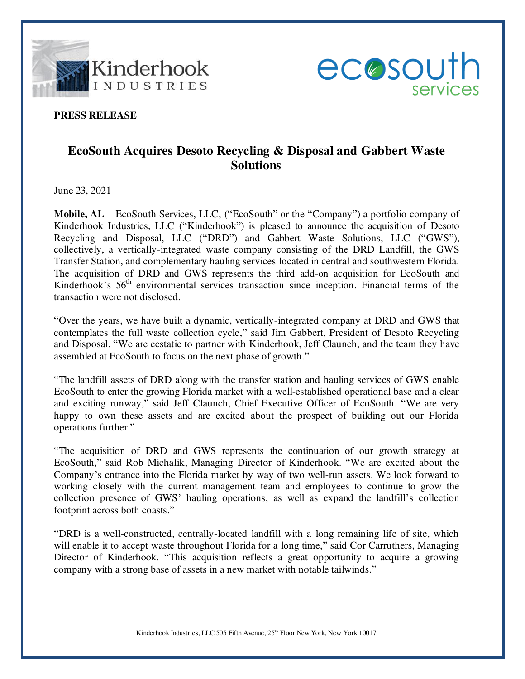



## **PRESS RELEASE**

## **EcoSouth Acquires Desoto Recycling & Disposal and Gabbert Waste Solutions**

June 23, 2021

**Mobile, AL** – EcoSouth Services, LLC, ("EcoSouth" or the "Company") a portfolio company of Kinderhook Industries, LLC ("Kinderhook") is pleased to announce the acquisition of Desoto Recycling and Disposal, LLC ("DRD") and Gabbert Waste Solutions, LLC ("GWS"), collectively, a vertically-integrated waste company consisting of the DRD Landfill, the GWS Transfer Station, and complementary hauling services located in central and southwestern Florida. The acquisition of DRD and GWS represents the third add-on acquisition for EcoSouth and Kinderhook's 56<sup>th</sup> environmental services transaction since inception. Financial terms of the transaction were not disclosed.

"Over the years, we have built a dynamic, vertically-integrated company at DRD and GWS that contemplates the full waste collection cycle," said Jim Gabbert, President of Desoto Recycling and Disposal. "We are ecstatic to partner with Kinderhook, Jeff Claunch, and the team they have assembled at EcoSouth to focus on the next phase of growth."

"The landfill assets of DRD along with the transfer station and hauling services of GWS enable EcoSouth to enter the growing Florida market with a well-established operational base and a clear and exciting runway," said Jeff Claunch, Chief Executive Officer of EcoSouth. "We are very happy to own these assets and are excited about the prospect of building out our Florida operations further."

"The acquisition of DRD and GWS represents the continuation of our growth strategy at EcoSouth," said Rob Michalik, Managing Director of Kinderhook. "We are excited about the Company's entrance into the Florida market by way of two well-run assets. We look forward to working closely with the current management team and employees to continue to grow the collection presence of GWS' hauling operations, as well as expand the landfill's collection footprint across both coasts."

"DRD is a well-constructed, centrally-located landfill with a long remaining life of site, which will enable it to accept waste throughout Florida for a long time," said Cor Carruthers, Managing Director of Kinderhook. "This acquisition reflects a great opportunity to acquire a growing company with a strong base of assets in a new market with notable tailwinds."